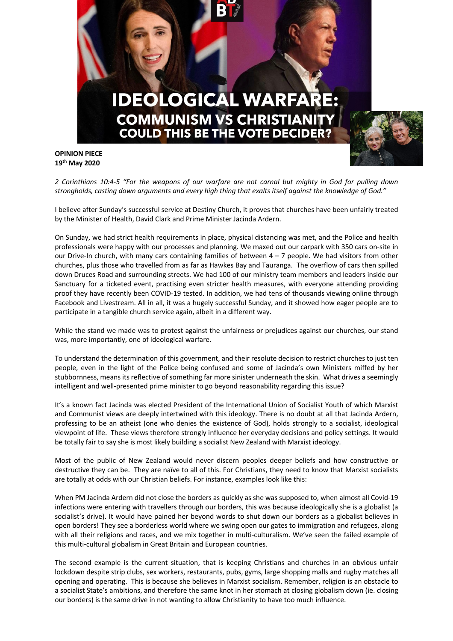

**OPINION PIECE 19th May 2020**

*2 Corinthians 10:4-5 "For the weapons of our warfare are not carnal but mighty in God for pulling down strongholds, casting down arguments and every high thing that exalts itself against the knowledge of God."*

I believe after Sunday's successful service at Destiny Church, it proves that churches have been unfairly treated by the Minister of Health, David Clark and Prime Minister Jacinda Ardern.

On Sunday, we had strict health requirements in place, physical distancing was met, and the Police and health professionals were happy with our processes and planning. We maxed out our carpark with 350 cars on-site in our Drive-In church, with many cars containing families of between  $4 - 7$  people. We had visitors from other churches, plus those who travelled from as far as Hawkes Bay and Tauranga. The overflow of cars then spilled down Druces Road and surrounding streets. We had 100 of our ministry team members and leaders inside our Sanctuary for a ticketed event, practising even stricter health measures, with everyone attending providing proof they have recently been COVID-19 tested. In addition, we had tens of thousands viewing online through Facebook and Livestream. All in all, it was a hugely successful Sunday, and it showed how eager people are to participate in a tangible church service again, albeit in a different way.

While the stand we made was to protest against the unfairness or prejudices against our churches, our stand was, more importantly, one of ideological warfare.

To understand the determination of this government, and their resolute decision to restrict churches to just ten people, even in the light of the Police being confused and some of Jacinda's own Ministers miffed by her stubbornness, means its reflective of something far more sinister underneath the skin. What drives a seemingly intelligent and well-presented prime minister to go beyond reasonability regarding this issue?

It's a known fact Jacinda was elected President of the International Union of Socialist Youth of which Marxist and Communist views are deeply intertwined with this ideology. There is no doubt at all that Jacinda Ardern, professing to be an atheist (one who denies the existence of God), holds strongly to a socialist, ideological viewpoint of life. These views therefore strongly influence her everyday decisions and policy settings. It would be totally fair to say she is most likely building a socialist New Zealand with Marxist ideology.

Most of the public of New Zealand would never discern peoples deeper beliefs and how constructive or destructive they can be. They are naïve to all of this. For Christians, they need to know that Marxist socialists are totally at odds with our Christian beliefs. For instance, examples look like this:

When PM Jacinda Ardern did not close the borders as quickly as she was supposed to, when almost all Covid-19 infections were entering with travellers through our borders, this was because ideologically she is a globalist (a socialist's drive). It would have pained her beyond words to shut down our borders as a globalist believes in open borders! They see a borderless world where we swing open our gates to immigration and refugees, along with all their religions and races, and we mix together in multi-culturalism. We've seen the failed example of this multi-cultural globalism in Great Britain and European countries.

The second example is the current situation, that is keeping Christians and churches in an obvious unfair lockdown despite strip clubs, sex workers, restaurants, pubs, gyms, large shopping malls and rugby matches all opening and operating. This is because she believes in Marxist socialism. Remember, religion is an obstacle to a socialist State's ambitions, and therefore the same knot in her stomach at closing globalism down (ie. closing our borders) is the same drive in not wanting to allow Christianity to have too much influence.